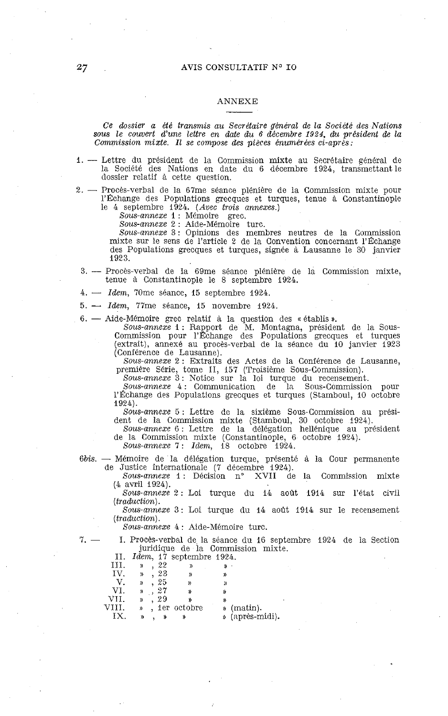## ANNEXE

*Ce dossier a été transmis au Secrétaire général de la Société des Nations sous le couvert d'une lettre en date du 6 décembre 1924, du président de la Commission mixte. Il se compose des pièces énumérées ci-après:* 

- 1. Lettre du président de la Commission mixte au Secrétaire général de la Société des Nations en date du 6 décembre 1924, transmettant le dossier relatif à cette question.
- *2.*  Procès-verbal de la 67me séance plénière de la Commission mixte pour l'Échange des Populations grecques et turques, tenue à Constantinople

le 4 septembre 1924. *(Avec trois annexes.)* 

*Sous-annexe* 1 : Mémoire grec. *Sous-annexe* 2 : Aide-Mémoire turc. *Sous-annexe* 3: Opinions des membres neutres de la Commission mixte sur le sens de l'article 2 de la Convention concernant l'Échange des Populations grecques et turques, signée à Lausanne le 30 janvier 1923. des Populations grecques et turques, signée à Lausanne le 30 janvier<br>**3. — Procès-verbal de la 69me séance plénière de la Commission mixte,<br>tenue à Constantinople le 8 sentembre 1924** 

- tenue à Constantinople le 8 septembre 1924. 3. --- Procès-verbal de la 69me séance pléni<br>tenue à Constantinople le 8 septembre<br>4. --- *Idem*, 70me séance, 15 septembre 1924.
- 
- 4. *Idem*, 70me séance, 15 septembre 1924.<br>5. *Idem*, 77me séance, 15 novembre 1924.

6. - Aide-Mémoire grec relatif à la question des « établis ».

*Sous-annexe* 1 : Rapport de M. Montagna, président de la Sous-Commission pour l'\*change des Populations grecques et turques (extrait), annexé au procès-verbal de la séance du 10 janvier 1923 (Conférence de Lausanne).

Sous-annexe 2: Extraits des Actes de la Conférence de Lausanne, première Série, tome II, 157 (Troisième Sous-Commission).

*Sous-annexe* 3: Notice sur la loi turque du recensement.<br> *Sous-annexe* 4: Communication de la Sous-Commission pour<br>
l'Échange des Populations grecques et turques (Stamboul, 10 octobre 1924).

Sous-annexe 5 : Lettre de la sixième Sous-Commission au président de la Commission mixte (Stamboul, 30 octobre 1924).<br>
Sous-annexe 6 : Lettre de la délégation hellénique au président<br>
de la Commission mixte (Constantinopl

- 6bis. Mémoire de la délégation turque, présenté à la Cour permanente de Justice internationale (7 décembre 1924).
	- Sous-annexe 1: Décision n° XVII de la Commission mixte (4 avril 1924).

Sous-annexe 2 : Loi turque du 14 août 1914 sur l'état civil *(traduction).* 

*Sous-annexe 3:* Loi turque du 14 août 1914 sur le recensement *(traduction).* 

*Sous-annexe* 4 : Aide-Mémoire turc.

7. - 1. Procès-verbal de la séance du 16 septembre 1934 de la Section juridique de la Commission mixte.

| П.    |               |      | <i>Idem</i> , 17 septembre 1924. |    |                 |
|-------|---------------|------|----------------------------------|----|-----------------|
| ш.    | y)            | . 22 |                                  |    |                 |
| IV.   | $\mathcal{D}$ | . 23 |                                  | y, |                 |
| V.    | $\mathcal{D}$ | , 25 | $\mathcal{D}$                    | )) |                 |
| VI.   | ))            | , 27 | Y)                               | y) |                 |
| VII.  | $\mathcal{D}$ | . 29 |                                  |    |                 |
| VIII. | D.            |      | , ier octobre                    |    | » (matin).      |
| TХ    | ))            | »    | »                                |    | » (après-midi). |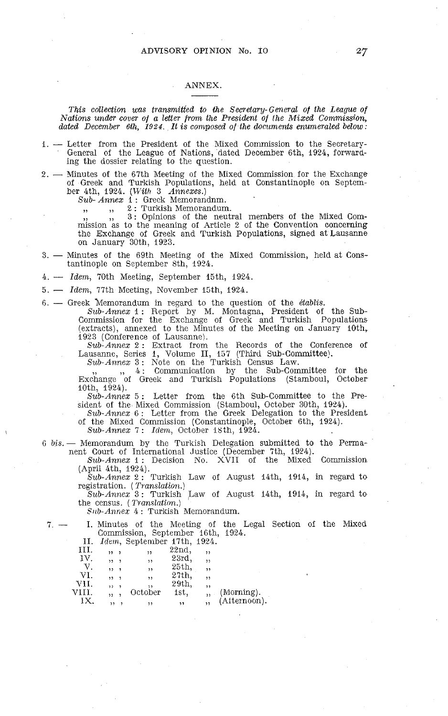## ANNEX.

*This collection was transmitted to the Secretary-General of the League of Aiations under cover of a letier from the President of the hlixed Commission, dated Decernber 6th, 1924. It is composed of the documents enumeraled below* :

- dated December 6th, 1924. It is composed of the documents enumerated below:<br>
1. Letter from the President of the Mixed Commission to the Secretary-<br>
General of the League of Nations, dated December 6th, 1924, forward-<br>
- of Greek and Turkish Populations, held at Constantinople on September 4th, 1924. *(Tl'ith* 3 *Annexes.) Sub- Annex* 1 : Greek Memorandnm.

,, ,, 2: Turkish Memorandum.

**3:** Opinions of the neutral members of the Mixed Commission as to the meaning of Article 2 of the Convention concerning the Exchange of Greek and Turkish Populations, signed at Lausanne<br>on January 30th, 1923.<br>3. — Minutes of the 69th Meeting of the Mixed Commission, held at Cons-<br>tantinople on Santamber 3th 1924

tantinople on September 8th, 1924. 3. - Minutes of the 69th Meeting of the Mixed Commission, held at Constantinople on September 8th, 1924.<br>4. -- *Idem*, 70th Meeting, September 15th, 1924.

5. - *Idem*, 77th Meeting, November 15th, 1924.

6. - Greek hfemorandum in regard to the question of the *établzs.* 

Sub-Annex 1: Report by M. Montagna, President of the Sub-Commission for the Exchange of Greek and Turkish Populations<br>(extracts), annexed to the Minutes of the Meeting on January 10th, 1923 (Conference of Lausanne).

*Sub-Annex* 2 : Extract from the Records of the Conference of Lausanne, Series 1, Volume II, 157 (Third Sub-Committee).<br> *Sub-Annex* 3: Note on the Turkish Census Law.

 $\frac{1}{2}$ ,  $\frac{4}{2}$ : Communication by the Sub-Committee for the Exchange of Greek and Turkisli Populations (Stamboul, October IOth, 1924).

*Sub-Annex 5* : Letter from the 6th Sub-Committee to the President of the Mixed Commission (Stamboul, October 30th, 1924).

*Sub-Annex* <sup>6</sup>: Letter from the Greek Delegation to the President of the Mixed Commission (Constantinople, October 6th, 1924).

*Sub-Annex* 7 : *Idem,* October ISth, 1924.

6 bis. - Memorandum by the Turkish Delegation submitted to the Perma-

nent Court of International Justice (December 7th, 1924).<br> *Sub-Annex* 1 : Decision No. XVII of the Mixed Commission (April 4th, 1924).

*Sub-Annex 2* : Turkish Law of August 14th, 1914, in regard to

registration. ( *T~anslation.) Sub-Annez* 3 : Turkish Law of August 14th, 1914, in regard to the census. (*Translation.*)

*S~tb-Annez* 4 : Turkish Memorandum.

*7.* - 1. Minutes of the Rl'eting of the Legal Section of the Mixed Commission, September 16th, 1924.

| 11.   |                                 | Idem, September 17th, 1924. |                  |     |              |
|-------|---------------------------------|-----------------------------|------------------|-----|--------------|
| ш.    | $, , \, ,$                      | ,,                          | 22nd.            | ,,  |              |
| IV.   | , 1, 7                          | ,,                          | 23rd.            | , , |              |
| V.    | $\overline{\phantom{a}}$<br>. . | ,,                          | 25 <sub>th</sub> | ,   |              |
| VI.   | , 1, 3                          | ,,                          | 27th.            | ,   |              |
| VH.   | $22 - 2$                        |                             | 29th.            | ,,  |              |
| VIII. |                                 | October                     | 1st,             |     | (Morning).   |
| IX.   |                                 |                             | ,,               |     | (Afternoon). |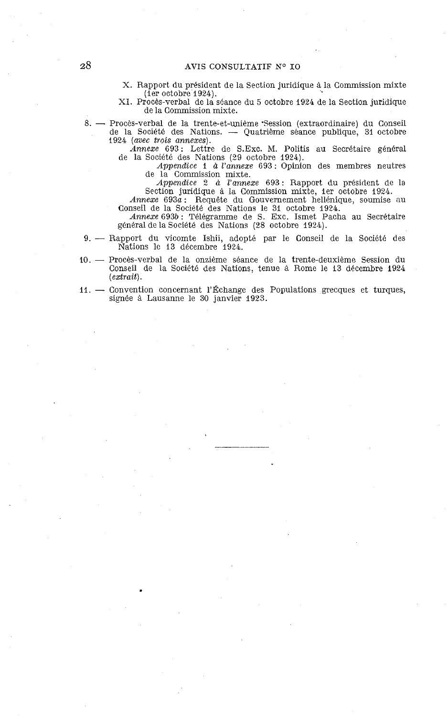## AVIS CONSULTATIF **K0 IO**

X. Rapport du president de la Section juridique à la Commission mixte (ler octobre 1924).

XI. Procès-verbal de la séance du 5 octobre 1924 de la Section juridique de la Commission mixte. 8. – Procès-verbal de la séance du 5 octobre 1924 de la Section juridique<br>8. – Procès-verbal de la trente-et-unième 'Session (extraordinaire) du Conseil<br>8. – Procès-verbal de la trente-et-unième 'Session (extraordinaire) d

de la Commission mixte.<br>Procès-verbal de la trente-et-unième Session (extraordinaire) du Conseil<br>de la Société des Nations. -- Quatrième séance publique, 31 octobre<br>1924 (avec trois annexes) 1924 (avec trois annexes).

Annexe 693: Lettre de S.Exc. M. Politis au Secrétaire général de la Société des Nations (29 octobre 1924).

Appendice 1 à l'annexe 693 : Opinion des membres neutres de la Commission mixte.

Appendice 2 à l'annexe 693 : Rapport du président de la Section juridique la Commission mixte, ler octobre 1924. Annexe 693a : Requête du Gouvernement hellénique, soumise nu Conseil de la Société des Nations le 31 octobre 1924.

Annexe 693b: Télégramme de S. Exc. Ismet Pacha au Secrétaire

général de la Société des Nations (28 octobre 1924).

- 9. Rapport du vicomte Ishii, adopté par le Conseil de la Société des Nations le 13 decembre 1924.
- 10. Procès-verbal de la onzième séance de la trente-deuxième Session du Conseil de la Société des Nations, tenue à Rome le 13 décembre 1924 (extrait).
- 11. Convention concernant l'Échange des Populations grecques et turques, signée à Lausanne le 30 janvier 1923.